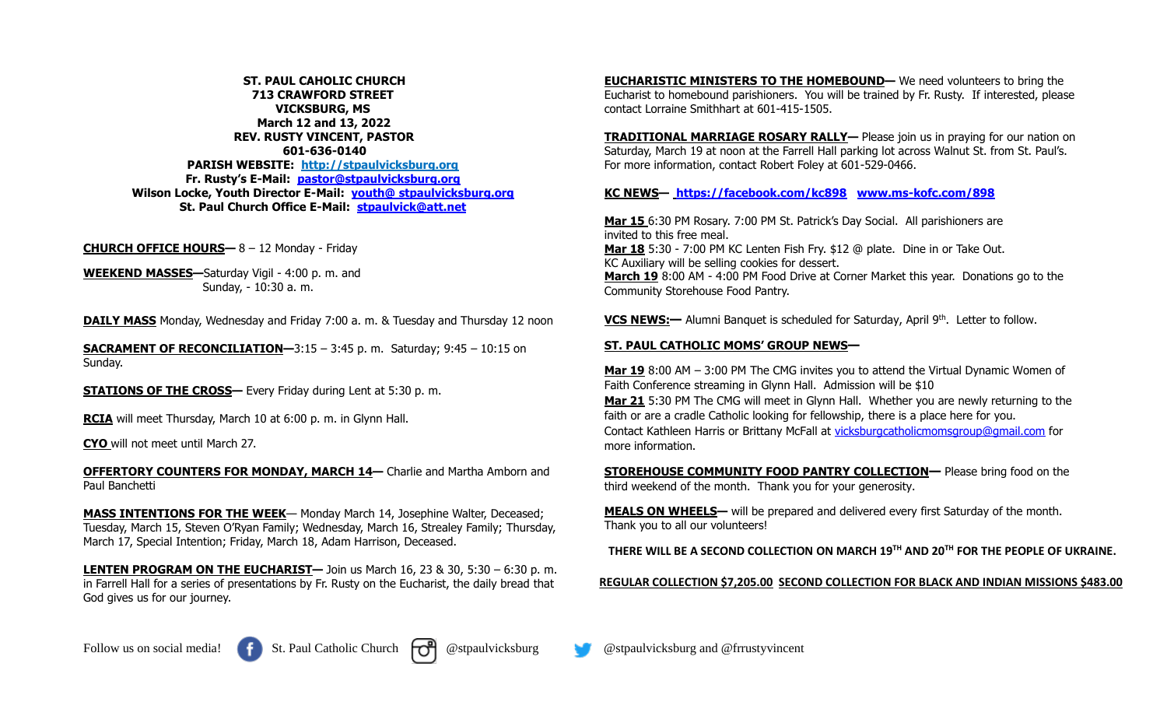**ST. PAUL CAHOLIC CHURCH 713 CRAWFORD STREET VICKSBURG, MS March 12 and 13, 2022 REV. RUSTY VINCENT, PASTOR 601-636-0140 PARISH WEBSITE: http://stpaulvicksburg.org Fr. Rusty's E-Mail: [pastor@stpaulvicksburg.org](mailto:pastor@stpaulvicksburg.org) Wilson Locke, Youth Director E-Mail: youth@ [stpaulvicksburg.org](mailto:youth@stpaulvicksburg.org) St. Paul Church Office E-Mail: [stpaulvick@att.net](mailto:stpaulvick@att.net)**

**CHURCH OFFICE HOURS—** 8 – 12 Monday - Friday

**WEEKEND MASSES—**Saturday Vigil - 4:00 p. m. and Sunday, - 10:30 a. m.

**DAILY MASS** Monday, Wednesday and Friday 7:00 a. m. & Tuesday and Thursday 12 noon

**SACRAMENT OF RECONCILIATION-3:15 - 3:45 p.m. Saturday; 9:45 - 10:15 on** Sunday.

**STATIONS OF THE CROSS—** Every Friday during Lent at 5:30 p.m.

**RCIA** will meet Thursday, March 10 at 6:00 p. m. in Glynn Hall.

**CYO** will not meet until March 27.

**OFFERTORY COUNTERS FOR MONDAY, MARCH 14—** Charlie and Martha Amborn and Paul Banchetti

**MASS INTENTIONS FOR THE WEEK**— Monday March 14, Josephine Walter, Deceased; Tuesday, March 15, Steven O'Ryan Family; Wednesday, March 16, Strealey Family; Thursday, March 17, Special Intention; Friday, March 18, Adam Harrison, Deceased.

**LENTEN PROGRAM ON THE EUCHARIST—** Join us March 16, 23 & 30, 5:30 – 6:30 p. m. in Farrell Hall for a series of presentations by Fr. Rusty on the Eucharist, the daily bread that God gives us for our journey.

**EUCHARISTIC MINISTERS TO THE HOMEBOUND—** We need volunteers to bring the Eucharist to homebound parishioners. You will be trained by Fr. Rusty. If interested, please contact Lorraine Smithhart at 601-415-1505.

**TRADITIONAL MARRIAGE ROSARY RALLY—** Please join us in praying for our nation on Saturday, March 19 at noon at the Farrell Hall parking lot across Walnut St. from St. Paul's. For more information, contact Robert Foley at 601-529-0466.

## **KC NEWS— <https://facebook.com/kc898> [www.ms-kofc.com/898](http://www.ms-kofc.com/898)**

**Mar 15** 6:30 PM Rosary. 7:00 PM St. Patrick's Day Social. All parishioners are invited to this free meal. **Mar 18** 5:30 - 7:00 PM KC Lenten Fish Fry. \$12 @ plate. Dine in or Take Out. KC Auxiliary will be selling cookies for dessert. **March 19** 8:00 AM - 4:00 PM Food Drive at Corner Market this year. Donations go to the Community Storehouse Food Pantry.

**VCS NEWS:—** Alumni Banquet is scheduled for Saturday, April 9th. Letter to follow.

## **ST. PAUL CATHOLIC MOMS' GROUP NEWS—**

**Mar 19** 8:00 AM – 3:00 PM The CMG invites you to attend the Virtual Dynamic Women of Faith Conference streaming in Glynn Hall. Admission will be \$10 **Mar 21** 5:30 PM The CMG will meet in Glynn Hall. Whether you are newly returning to the faith or are a cradle Catholic looking for fellowship, there is a place here for you. Contact Kathleen Harris or Brittany McFall at [vicksburgcatholicmomsgroup@gmail.com](mailto:vicksburgcatholicmomsgroup@gmail.com) for more information.

**STOREHOUSE COMMUNITY FOOD PANTRY COLLECTION—** Please bring food on the third weekend of the month. Thank you for your generosity.

**MEALS ON WHEELS—** will be prepared and delivered every first Saturday of the month. Thank you to all our volunteers!

**THERE WILL BE A SECOND COLLECTION ON MARCH 19TH AND 20TH FOR THE PEOPLE OF UKRAINE.**

**REGULAR COLLECTION \$7,205.00 SECOND COLLECTION FOR BLACK AND INDIAN MISSIONS \$483.00**